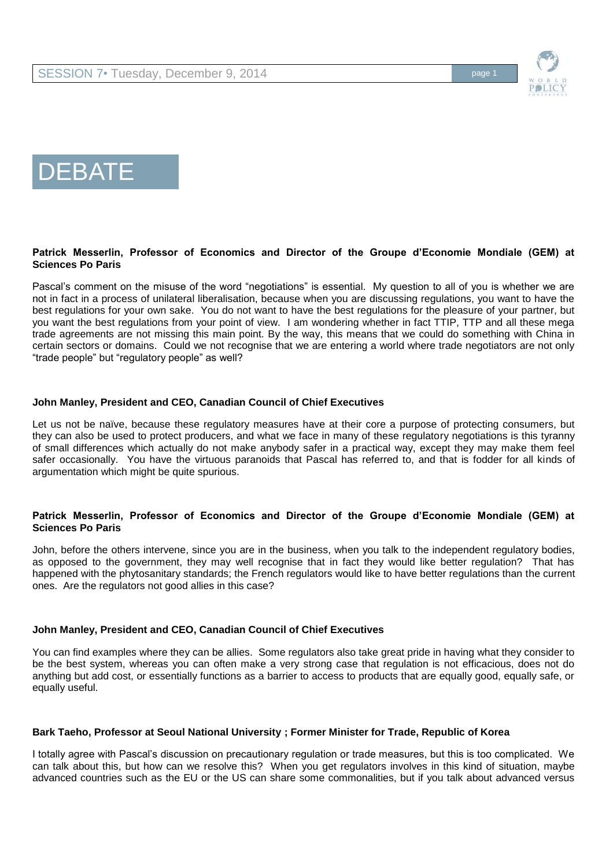



## **Patrick Messerlin, Professor of Economics and Director of the Groupe d'Economie Mondiale (GEM) at Sciences Po Paris**

Pascal's comment on the misuse of the word "negotiations" is essential. My question to all of you is whether we are not in fact in a process of unilateral liberalisation, because when you are discussing regulations, you want to have the best regulations for your own sake. You do not want to have the best regulations for the pleasure of your partner, but you want the best regulations from your point of view. I am wondering whether in fact TTIP, TTP and all these mega trade agreements are not missing this main point. By the way, this means that we could do something with China in certain sectors or domains. Could we not recognise that we are entering a world where trade negotiators are not only "trade people" but "regulatory people" as well?

#### **John Manley, President and CEO, Canadian Council of Chief Executives**

Let us not be naïve, because these regulatory measures have at their core a purpose of protecting consumers, but they can also be used to protect producers, and what we face in many of these regulatory negotiations is this tyranny of small differences which actually do not make anybody safer in a practical way, except they may make them feel safer occasionally. You have the virtuous paranoids that Pascal has referred to, and that is fodder for all kinds of argumentation which might be quite spurious.

### **Patrick Messerlin, Professor of Economics and Director of the Groupe d'Economie Mondiale (GEM) at Sciences Po Paris**

John, before the others intervene, since you are in the business, when you talk to the independent regulatory bodies, as opposed to the government, they may well recognise that in fact they would like better regulation? That has happened with the phytosanitary standards; the French regulators would like to have better regulations than the current ones. Are the regulators not good allies in this case?

#### **John Manley, President and CEO, Canadian Council of Chief Executives**

You can find examples where they can be allies. Some regulators also take great pride in having what they consider to be the best system, whereas you can often make a very strong case that regulation is not efficacious, does not do anything but add cost, or essentially functions as a barrier to access to products that are equally good, equally safe, or equally useful.

# **Bark Taeho, Professor at Seoul National University ; Former Minister for Trade, Republic of Korea**

I totally agree with Pascal's discussion on precautionary regulation or trade measures, but this is too complicated. We can talk about this, but how can we resolve this? When you get regulators involves in this kind of situation, maybe advanced countries such as the EU or the US can share some commonalities, but if you talk about advanced versus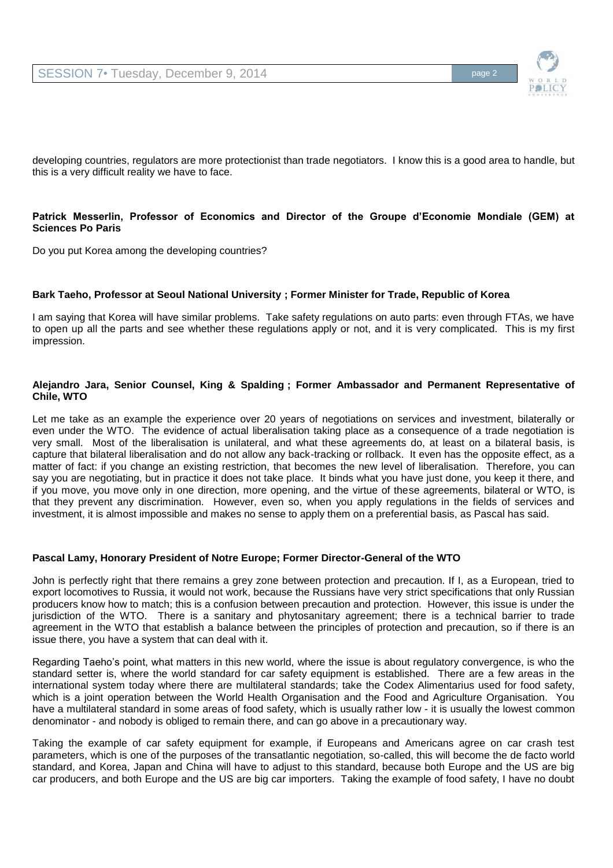

developing countries, regulators are more protectionist than trade negotiators. I know this is a good area to handle, but this is a very difficult reality we have to face.

### **Patrick Messerlin, Professor of Economics and Director of the Groupe d'Economie Mondiale (GEM) at Sciences Po Paris**

Do you put Korea among the developing countries?

#### **Bark Taeho, Professor at Seoul National University ; Former Minister for Trade, Republic of Korea**

I am saying that Korea will have similar problems. Take safety regulations on auto parts: even through FTAs, we have to open up all the parts and see whether these regulations apply or not, and it is very complicated. This is my first impression.

### **Alejandro Jara, Senior Counsel, King & Spalding ; Former Ambassador and Permanent Representative of Chile, WTO**

Let me take as an example the experience over 20 years of negotiations on services and investment, bilaterally or even under the WTO. The evidence of actual liberalisation taking place as a consequence of a trade negotiation is very small. Most of the liberalisation is unilateral, and what these agreements do, at least on a bilateral basis, is capture that bilateral liberalisation and do not allow any back-tracking or rollback. It even has the opposite effect, as a matter of fact: if you change an existing restriction, that becomes the new level of liberalisation. Therefore, you can say you are negotiating, but in practice it does not take place. It binds what you have just done, you keep it there, and if you move, you move only in one direction, more opening, and the virtue of these agreements, bilateral or WTO, is that they prevent any discrimination. However, even so, when you apply regulations in the fields of services and investment, it is almost impossible and makes no sense to apply them on a preferential basis, as Pascal has said.

#### **Pascal Lamy, Honorary President of Notre Europe; Former Director-General of the WTO**

John is perfectly right that there remains a grey zone between protection and precaution. If I, as a European, tried to export locomotives to Russia, it would not work, because the Russians have very strict specifications that only Russian producers know how to match; this is a confusion between precaution and protection. However, this issue is under the jurisdiction of the WTO. There is a sanitary and phytosanitary agreement; there is a technical barrier to trade agreement in the WTO that establish a balance between the principles of protection and precaution, so if there is an issue there, you have a system that can deal with it.

Regarding Taeho's point, what matters in this new world, where the issue is about regulatory convergence, is who the standard setter is, where the world standard for car safety equipment is established. There are a few areas in the international system today where there are multilateral standards; take the Codex Alimentarius used for food safety, which is a joint operation between the World Health Organisation and the Food and Agriculture Organisation. You have a multilateral standard in some areas of food safety, which is usually rather low - it is usually the lowest common denominator - and nobody is obliged to remain there, and can go above in a precautionary way.

Taking the example of car safety equipment for example, if Europeans and Americans agree on car crash test parameters, which is one of the purposes of the transatlantic negotiation, so-called, this will become the de facto world standard, and Korea, Japan and China will have to adjust to this standard, because both Europe and the US are big car producers, and both Europe and the US are big car importers. Taking the example of food safety, I have no doubt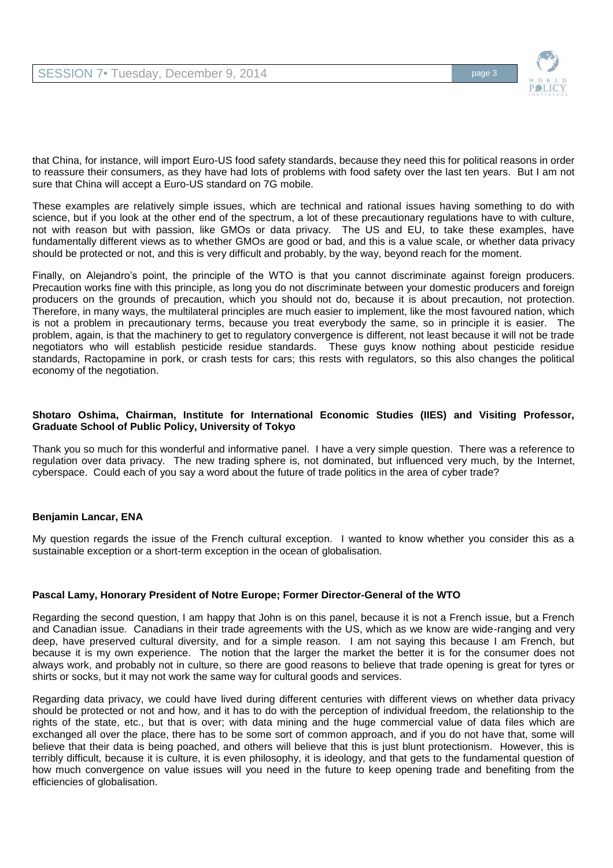

that China, for instance, will import Euro-US food safety standards, because they need this for political reasons in order to reassure their consumers, as they have had lots of problems with food safety over the last ten years. But I am not sure that China will accept a Euro-US standard on 7G mobile.

These examples are relatively simple issues, which are technical and rational issues having something to do with science, but if you look at the other end of the spectrum, a lot of these precautionary regulations have to with culture, not with reason but with passion, like GMOs or data privacy. The US and EU, to take these examples, have fundamentally different views as to whether GMOs are good or bad, and this is a value scale, or whether data privacy should be protected or not, and this is very difficult and probably, by the way, beyond reach for the moment.

Finally, on Alejandro's point, the principle of the WTO is that you cannot discriminate against foreign producers. Precaution works fine with this principle, as long you do not discriminate between your domestic producers and foreign producers on the grounds of precaution, which you should not do, because it is about precaution, not protection. Therefore, in many ways, the multilateral principles are much easier to implement, like the most favoured nation, which is not a problem in precautionary terms, because you treat everybody the same, so in principle it is easier. The problem, again, is that the machinery to get to regulatory convergence is different, not least because it will not be trade negotiators who will establish pesticide residue standards. These guys know nothing about pesticide residue standards, Ractopamine in pork, or crash tests for cars; this rests with regulators, so this also changes the political economy of the negotiation.

## **Shotaro Oshima, Chairman, Institute for International Economic Studies (IIES) and Visiting Professor, Graduate School of Public Policy, University of Tokyo**

Thank you so much for this wonderful and informative panel. I have a very simple question. There was a reference to regulation over data privacy. The new trading sphere is, not dominated, but influenced very much, by the Internet, cyberspace. Could each of you say a word about the future of trade politics in the area of cyber trade?

# **Benjamin Lancar, ENA**

My question regards the issue of the French cultural exception. I wanted to know whether you consider this as a sustainable exception or a short-term exception in the ocean of globalisation.

# **Pascal Lamy, Honorary President of Notre Europe; Former Director-General of the WTO**

Regarding the second question, I am happy that John is on this panel, because it is not a French issue, but a French and Canadian issue. Canadians in their trade agreements with the US, which as we know are wide-ranging and very deep, have preserved cultural diversity, and for a simple reason. I am not saying this because I am French, but because it is my own experience. The notion that the larger the market the better it is for the consumer does not always work, and probably not in culture, so there are good reasons to believe that trade opening is great for tyres or shirts or socks, but it may not work the same way for cultural goods and services.

Regarding data privacy, we could have lived during different centuries with different views on whether data privacy should be protected or not and how, and it has to do with the perception of individual freedom, the relationship to the rights of the state, etc., but that is over; with data mining and the huge commercial value of data files which are exchanged all over the place, there has to be some sort of common approach, and if you do not have that, some will believe that their data is being poached, and others will believe that this is just blunt protectionism. However, this is terribly difficult, because it is culture, it is even philosophy, it is ideology, and that gets to the fundamental question of how much convergence on value issues will you need in the future to keep opening trade and benefiting from the efficiencies of globalisation.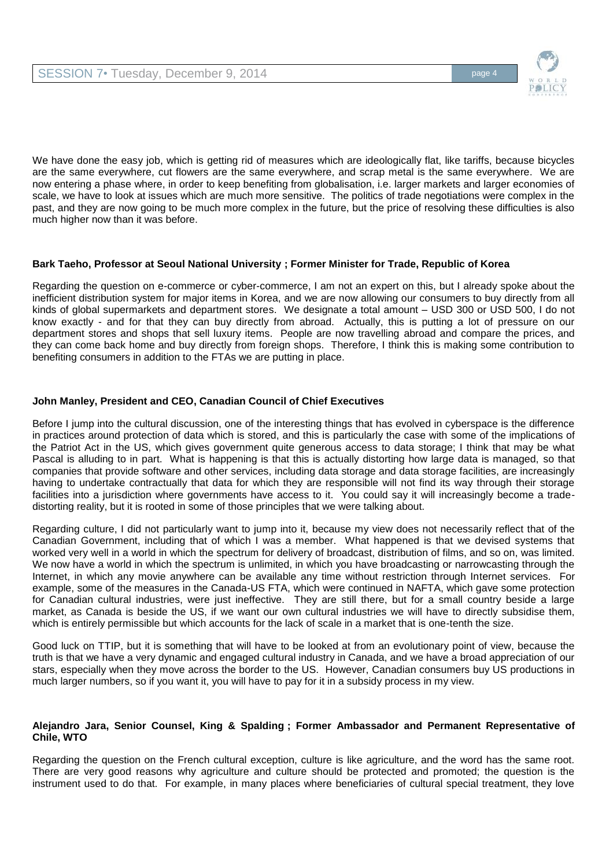

We have done the easy job, which is getting rid of measures which are ideologically flat, like tariffs, because bicycles are the same everywhere, cut flowers are the same everywhere, and scrap metal is the same everywhere. We are now entering a phase where, in order to keep benefiting from globalisation, i.e. larger markets and larger economies of scale, we have to look at issues which are much more sensitive. The politics of trade negotiations were complex in the past, and they are now going to be much more complex in the future, but the price of resolving these difficulties is also much higher now than it was before.

### **Bark Taeho, Professor at Seoul National University ; Former Minister for Trade, Republic of Korea**

Regarding the question on e-commerce or cyber-commerce, I am not an expert on this, but I already spoke about the inefficient distribution system for major items in Korea, and we are now allowing our consumers to buy directly from all kinds of global supermarkets and department stores. We designate a total amount – USD 300 or USD 500, I do not know exactly - and for that they can buy directly from abroad. Actually, this is putting a lot of pressure on our department stores and shops that sell luxury items. People are now travelling abroad and compare the prices, and they can come back home and buy directly from foreign shops. Therefore, I think this is making some contribution to benefiting consumers in addition to the FTAs we are putting in place.

# **John Manley, President and CEO, Canadian Council of Chief Executives**

Before I jump into the cultural discussion, one of the interesting things that has evolved in cyberspace is the difference in practices around protection of data which is stored, and this is particularly the case with some of the implications of the Patriot Act in the US, which gives government quite generous access to data storage; I think that may be what Pascal is alluding to in part. What is happening is that this is actually distorting how large data is managed, so that companies that provide software and other services, including data storage and data storage facilities, are increasingly having to undertake contractually that data for which they are responsible will not find its way through their storage facilities into a jurisdiction where governments have access to it. You could say it will increasingly become a tradedistorting reality, but it is rooted in some of those principles that we were talking about.

Regarding culture, I did not particularly want to jump into it, because my view does not necessarily reflect that of the Canadian Government, including that of which I was a member. What happened is that we devised systems that worked very well in a world in which the spectrum for delivery of broadcast, distribution of films, and so on, was limited. We now have a world in which the spectrum is unlimited, in which you have broadcasting or narrowcasting through the Internet, in which any movie anywhere can be available any time without restriction through Internet services. For example, some of the measures in the Canada-US FTA, which were continued in NAFTA, which gave some protection for Canadian cultural industries, were just ineffective. They are still there, but for a small country beside a large market, as Canada is beside the US, if we want our own cultural industries we will have to directly subsidise them, which is entirely permissible but which accounts for the lack of scale in a market that is one-tenth the size.

Good luck on TTIP, but it is something that will have to be looked at from an evolutionary point of view, because the truth is that we have a very dynamic and engaged cultural industry in Canada, and we have a broad appreciation of our stars, especially when they move across the border to the US. However, Canadian consumers buy US productions in much larger numbers, so if you want it, you will have to pay for it in a subsidy process in my view.

#### **Alejandro Jara, Senior Counsel, King & Spalding ; Former Ambassador and Permanent Representative of Chile, WTO**

Regarding the question on the French cultural exception, culture is like agriculture, and the word has the same root. There are very good reasons why agriculture and culture should be protected and promoted; the question is the instrument used to do that. For example, in many places where beneficiaries of cultural special treatment, they love